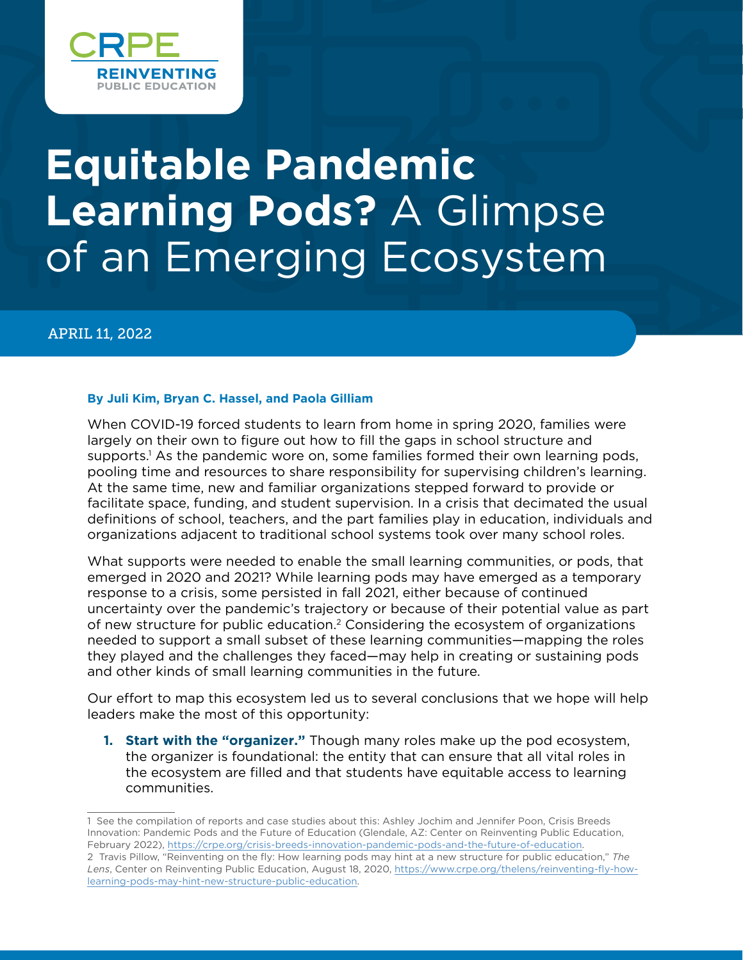

# **Equitable Pandemic Learning Pods?** A Glimpse of an Emerging Ecosystem

#### APRIL 11, 2022

#### **By Juli Kim, Bryan C. Hassel, and Paola Gilliam**

When COVID-19 forced students to learn from home in spring 2020, families were largely on their own to figure out how to fill the gaps in school structure and supports.1 As the pandemic wore on, some families formed their own learning pods, pooling time and resources to share responsibility for supervising children's learning. At the same time, new and familiar organizations stepped forward to provide or facilitate space, funding, and student supervision. In a crisis that decimated the usual definitions of school, teachers, and the part families play in education, individuals and organizations adjacent to traditional school systems took over many school roles.

What supports were needed to enable the small learning communities, or pods, that emerged in 2020 and 2021? While learning pods may have emerged as a temporary response to a crisis, some persisted in fall 2021, either because of continued uncertainty over the pandemic's trajectory or because of their potential value as part of new structure for public education.2 Considering the ecosystem of organizations needed to support a small subset of these learning communities—mapping the roles they played and the challenges they faced—may help in creating or sustaining pods and other kinds of small learning communities in the future.

Our effort to map this ecosystem led us to several conclusions that we hope will help leaders make the most of this opportunity:

**1. Start with the "organizer."** Though many roles make up the pod ecosystem, the organizer is foundational: the entity that can ensure that all vital roles in the ecosystem are filled and that students have equitable access to learning communities.

<sup>1</sup> See the compilation of reports and case studies about this: Ashley Jochim and Jennifer Poon, Crisis Breeds Innovation: Pandemic Pods and the Future of Education (Glendale, AZ: Center on Reinventing Public Education, February 2022), [https://crpe.org/crisis-breeds-innovation-pandemic-pods-and-the-future-of-education.](https://crpe.org/crisis-breeds-innovation-pandemic-pods-and-the-future-of-education)

<sup>2</sup> Travis Pillow, "Reinventing on the fly: How learning pods may hint at a new structure for public education," *The Lens*, Center on Reinventing Public Education, August 18, 2020, [https://www.crpe.org/thelens/reinventing-fly-how](https://www.crpe.org/thelens/reinventing-fly-how-learning-pods-may-hint-new-structure-public-education)[learning-pods-may-hint-new-structure-public-education](https://www.crpe.org/thelens/reinventing-fly-how-learning-pods-may-hint-new-structure-public-education).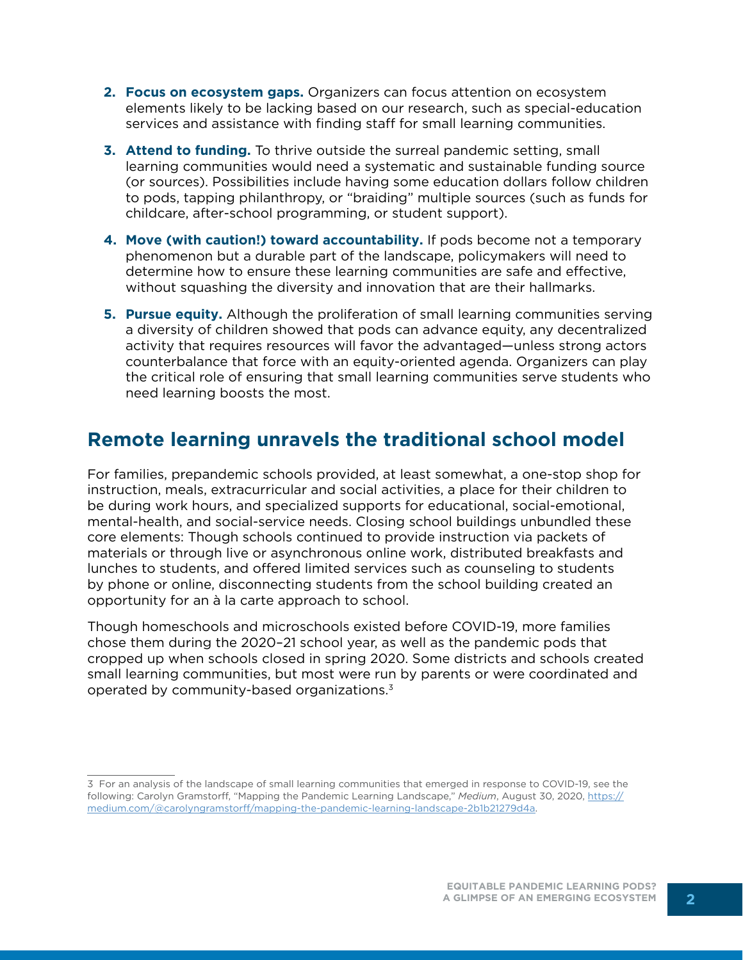- **2. Focus on ecosystem gaps.** Organizers can focus attention on ecosystem elements likely to be lacking based on our research, such as special-education services and assistance with finding staff for small learning communities.
- **3. Attend to funding.** To thrive outside the surreal pandemic setting, small learning communities would need a systematic and sustainable funding source (or sources). Possibilities include having some education dollars follow children to pods, tapping philanthropy, or "braiding" multiple sources (such as funds for childcare, after-school programming, or student support).
- **4. Move (with caution!) toward accountability.** If pods become not a temporary phenomenon but a durable part of the landscape, policymakers will need to determine how to ensure these learning communities are safe and effective, without squashing the diversity and innovation that are their hallmarks.
- **5. Pursue equity.** Although the proliferation of small learning communities serving a diversity of children showed that pods can advance equity, any decentralized activity that requires resources will favor the advantaged—unless strong actors counterbalance that force with an equity-oriented agenda. Organizers can play the critical role of ensuring that small learning communities serve students who need learning boosts the most.

# **Remote learning unravels the traditional school model**

For families, prepandemic schools provided, at least somewhat, a one-stop shop for instruction, meals, extracurricular and social activities, a place for their children to be during work hours, and specialized supports for educational, social-emotional, mental-health, and social-service needs. Closing school buildings unbundled these core elements: Though schools continued to provide instruction via packets of materials or through live or asynchronous online work, distributed breakfasts and lunches to students, and offered limited services such as counseling to students by phone or online, disconnecting students from the school building created an opportunity for an à la carte approach to school.

Though homeschools and microschools existed before COVID-19, more families chose them during the 2020–21 school year, as well as the pandemic pods that cropped up when schools closed in spring 2020. Some districts and schools created small learning communities, but most were run by parents or were coordinated and operated by community-based organizations.3

<sup>3</sup> For an analysis of the landscape of small learning communities that emerged in response to COVID-19, see the following: Carolyn Gramstorff, "Mapping the Pandemic Learning Landscape," *Medium*, August 30, 2020, [https://](https://medium.com/@carolyngramstorff/mapping-the-pandemic-learning-landscape-2b1b21279d4a) [medium.com/@carolyngramstorff/mapping-the-pandemic-learning-landscape-2b1b21279d4a](https://medium.com/@carolyngramstorff/mapping-the-pandemic-learning-landscape-2b1b21279d4a).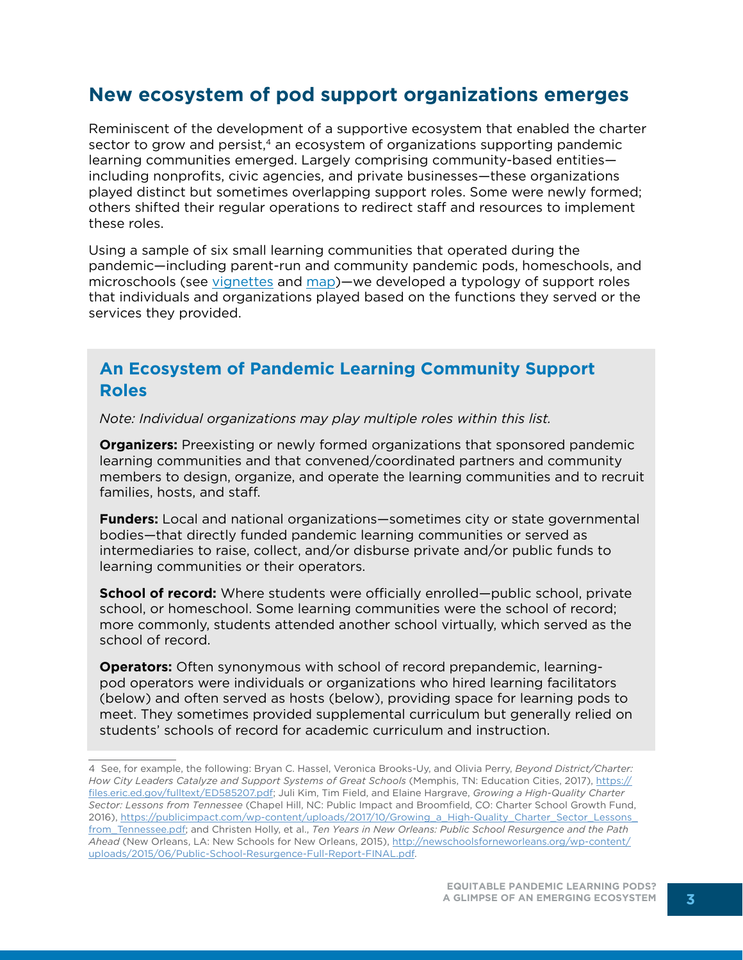## **New ecosystem of pod support organizations emerges**

Reminiscent of the development of a supportive ecosystem that enabled the charter sector to grow and persist,<sup>4</sup> an ecosystem of organizations supporting pandemic learning communities emerged. Largely comprising community-based entities including nonprofits, civic agencies, and private businesses—these organizations played distinct but sometimes overlapping support roles. Some were newly formed; others shifted their regular operations to redirect staff and resources to implement these roles.

Using a sample of six small learning communities that operated during the pandemic—including parent-run and community pandemic pods, homeschools, and microschools (see [vignettes](https://docs.google.com/document/d/1p0D5Ih2_svOQoBvEym3vf1FHmh2wIkm4/edit#heading=h.gjdgxs) and [map](https://docs.google.com/document/d/1p0D5Ih2_svOQoBvEym3vf1FHmh2wIkm4/edit#heading=h.30j0zll))—we developed a typology of support roles that individuals and organizations played based on the functions they served or the services they provided.

#### **An Ecosystem of Pandemic Learning Community Support Roles**

*Note: Individual organizations may play multiple roles within this list.*

**Organizers:** Preexisting or newly formed organizations that sponsored pandemic learning communities and that convened/coordinated partners and community members to design, organize, and operate the learning communities and to recruit families, hosts, and staff.

**Funders:** Local and national organizations—sometimes city or state governmental bodies—that directly funded pandemic learning communities or served as intermediaries to raise, collect, and/or disburse private and/or public funds to learning communities or their operators.

**School of record:** Where students were officially enrolled—public school, private school, or homeschool. Some learning communities were the school of record; more commonly, students attended another school virtually, which served as the school of record.

**Operators:** Often synonymous with school of record prepandemic, learningpod operators were individuals or organizations who hired learning facilitators (below) and often served as hosts (below), providing space for learning pods to meet. They sometimes provided supplemental curriculum but generally relied on students' schools of record for academic curriculum and instruction.

<sup>4</sup> See, for example, the following: Bryan C. Hassel, Veronica Brooks-Uy, and Olivia Perry, *Beyond District/Charter: How City Leaders Catalyze and Support Systems of Great Schools* (Memphis, TN: Education Cities, 2017), [https://](https://files.eric.ed.gov/fulltext/ED585207.pdf) [files.eric.ed.gov/fulltext/ED585207.pdf](https://files.eric.ed.gov/fulltext/ED585207.pdf); Juli Kim, Tim Field, and Elaine Hargrave, *Growing a High-Quality Charter Sector: Lessons from Tennessee* (Chapel Hill, NC: Public Impact and Broomfield, CO: Charter School Growth Fund, 2016), [https://publicimpact.com/wp-content/uploads/2017/10/Growing\\_a\\_High-Quality\\_Charter\\_Sector\\_Lessons\\_](https://publicimpact.com/wp-content/uploads/2017/10/Growing_a_High-Quality_Charter_Sector_Lessons_from_Tennessee.pdf) from Tennessee.pdf; and Christen Holly, et al., *Ten Years in New Orleans: Public School Resurgence and the Path Ahead* (New Orleans, LA: New Schools for New Orleans, 2015), [http://newschoolsforneworleans.org/wp-content/](http://newschoolsforneworleans.org/wp-content/uploads/2015/06/Public-School-Resurgence-Full-Report-FINAL.pdf) [uploads/2015/06/Public-School-Resurgence-Full-Report-FINAL.pdf](http://newschoolsforneworleans.org/wp-content/uploads/2015/06/Public-School-Resurgence-Full-Report-FINAL.pdf).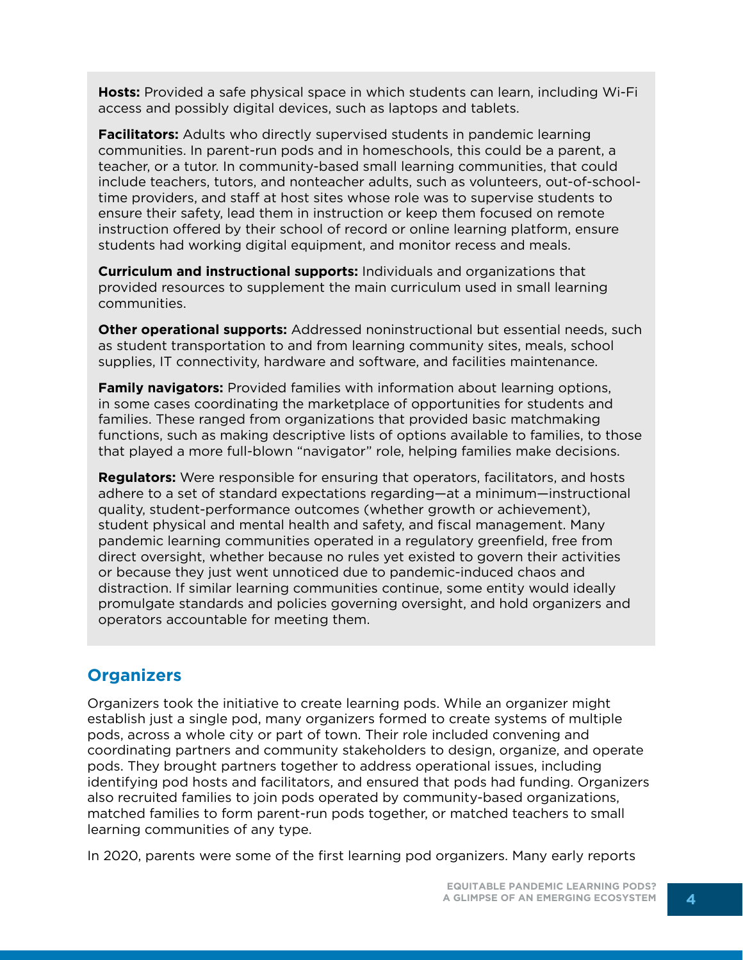**Hosts:** Provided a safe physical space in which students can learn, including Wi-Fi access and possibly digital devices, such as laptops and tablets.

**Facilitators:** Adults who directly supervised students in pandemic learning communities. In parent-run pods and in homeschools, this could be a parent, a teacher, or a tutor. In community-based small learning communities, that could include teachers, tutors, and nonteacher adults, such as volunteers, out-of-schooltime providers, and staff at host sites whose role was to supervise students to ensure their safety, lead them in instruction or keep them focused on remote instruction offered by their school of record or online learning platform, ensure students had working digital equipment, and monitor recess and meals.

**Curriculum and instructional supports:** Individuals and organizations that provided resources to supplement the main curriculum used in small learning communities.

**Other operational supports:** Addressed noninstructional but essential needs, such as student transportation to and from learning community sites, meals, school supplies, IT connectivity, hardware and software, and facilities maintenance.

**Family navigators:** Provided families with information about learning options, in some cases coordinating the marketplace of opportunities for students and families. These ranged from organizations that provided basic matchmaking functions, such as making descriptive lists of options available to families, to those that played a more full-blown "navigator" role, helping families make decisions.

**Regulators:** Were responsible for ensuring that operators, facilitators, and hosts adhere to a set of standard expectations regarding—at a minimum—instructional quality, student-performance outcomes (whether growth or achievement), student physical and mental health and safety, and fiscal management. Many pandemic learning communities operated in a regulatory greenfield, free from direct oversight, whether because no rules yet existed to govern their activities or because they just went unnoticed due to pandemic-induced chaos and distraction. If similar learning communities continue, some entity would ideally promulgate standards and policies governing oversight, and hold organizers and operators accountable for meeting them.

#### **Organizers**

Organizers took the initiative to create learning pods. While an organizer might establish just a single pod, many organizers formed to create systems of multiple pods, across a whole city or part of town. Their role included convening and coordinating partners and community stakeholders to design, organize, and operate pods. They brought partners together to address operational issues, including identifying pod hosts and facilitators, and ensured that pods had funding. Organizers also recruited families to join pods operated by community-based organizations, matched families to form parent-run pods together, or matched teachers to small learning communities of any type.

In 2020, parents were some of the first learning pod organizers. Many early reports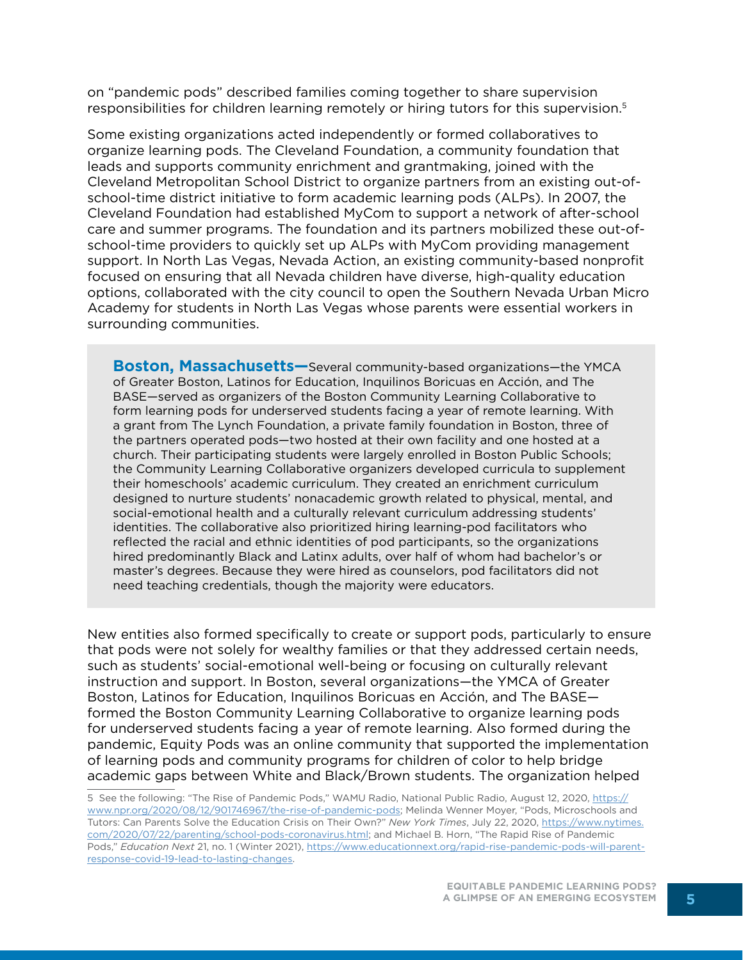on "pandemic pods" described families coming together to share supervision responsibilities for children learning remotely or hiring tutors for this supervision.<sup>5</sup>

Some existing organizations acted independently or formed collaboratives to organize learning pods. The Cleveland Foundation, a community foundation that leads and supports community enrichment and grantmaking, joined with the Cleveland Metropolitan School District to organize partners from an existing out-ofschool-time district initiative to form academic learning pods (ALPs). In 2007, the Cleveland Foundation had established MyCom to support a network of after-school care and summer programs. The foundation and its partners mobilized these out-ofschool-time providers to quickly set up ALPs with MyCom providing management support. In North Las Vegas, Nevada Action, an existing community-based nonprofit focused on ensuring that all Nevada children have diverse, high-quality education options, collaborated with the city council to open the Southern Nevada Urban Micro Academy for students in North Las Vegas whose parents were essential workers in surrounding communities.

**Boston, Massachusetts—**Several community-based organizations—the YMCA of Greater Boston, Latinos for Education, Inquilinos Boricuas en Acción, and The BASE—served as organizers of the Boston Community Learning Collaborative to form learning pods for underserved students facing a year of remote learning. With a grant from The Lynch Foundation, a private family foundation in Boston, three of the partners operated pods—two hosted at their own facility and one hosted at a church. Their participating students were largely enrolled in Boston Public Schools; the Community Learning Collaborative organizers developed curricula to supplement their homeschools' academic curriculum. They created an enrichment curriculum designed to nurture students' nonacademic growth related to physical, mental, and social-emotional health and a culturally relevant curriculum addressing students' identities. The collaborative also prioritized hiring learning-pod facilitators who reflected the racial and ethnic identities of pod participants, so the organizations hired predominantly Black and Latinx adults, over half of whom had bachelor's or master's degrees. Because they were hired as counselors, pod facilitators did not need teaching credentials, though the majority were educators.

New entities also formed specifically to create or support pods, particularly to ensure that pods were not solely for wealthy families or that they addressed certain needs, such as students' social-emotional well-being or focusing on culturally relevant instruction and support. In Boston, several organizations—the YMCA of Greater Boston, Latinos for Education, Inquilinos Boricuas en Acción, and The BASE formed the Boston Community Learning Collaborative to organize learning pods for underserved students facing a year of remote learning. Also formed during the pandemic, Equity Pods was an online community that supported the implementation of learning pods and community programs for children of color to help bridge academic gaps between White and Black/Brown students. The organization helped

<sup>5</sup> See the following: "The Rise of Pandemic Pods," WAMU Radio, National Public Radio, August 12, 2020, [https://](https://www.npr.org/2020/08/12/901746967/the-rise-of-pandemic-pods) [www.npr.org/2020/08/12/901746967/the-rise-of-pandemic-pods;](https://www.npr.org/2020/08/12/901746967/the-rise-of-pandemic-pods) Melinda Wenner Moyer, "Pods, Microschools and Tutors: Can Parents Solve the Education Crisis on Their Own?" *New York Times*, July 22, 2020, [https://www.nytimes.](https://www.nytimes.com/2020/07/22/parenting/school-pods-coronavirus.html) [com/2020/07/22/parenting/school-pods-coronavirus.html](https://www.nytimes.com/2020/07/22/parenting/school-pods-coronavirus.html); and Michael B. Horn, "The Rapid Rise of Pandemic Pods," *Education Next* 21, no. 1 (Winter 2021), [https://www.educationnext.org/rapid-rise-pandemic-pods-will-parent](https://www.educationnext.org/rapid-rise-pandemic-pods-will-parent-response-covid-19-lead-to-lasting-changes)[response-covid-19-lead-to-lasting-changes](https://www.educationnext.org/rapid-rise-pandemic-pods-will-parent-response-covid-19-lead-to-lasting-changes).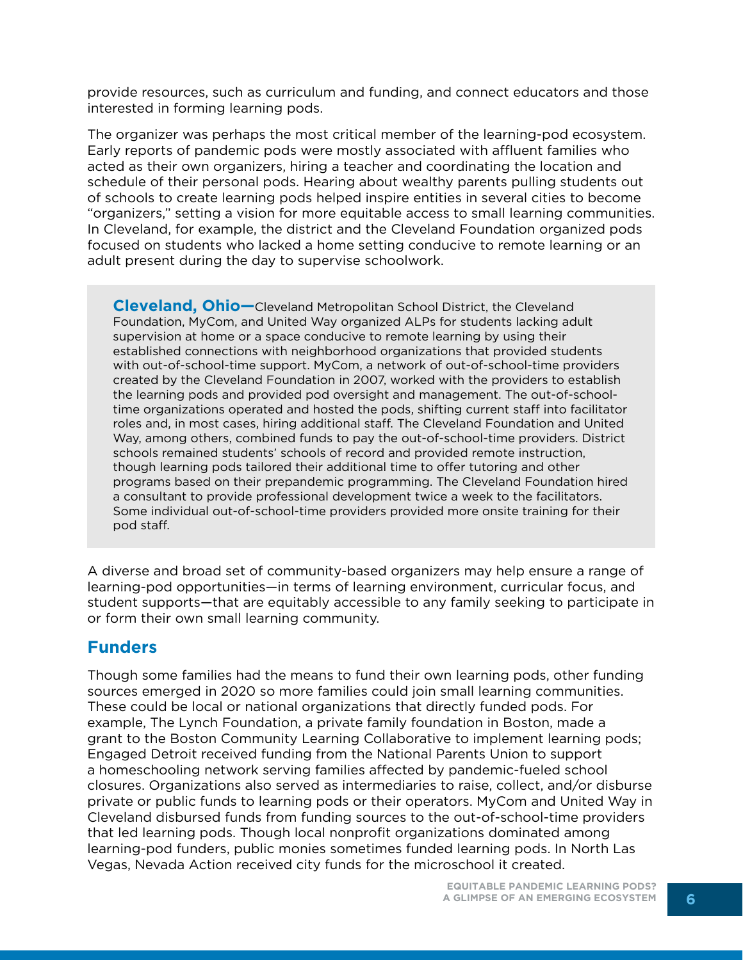provide resources, such as curriculum and funding, and connect educators and those interested in forming learning pods.

The organizer was perhaps the most critical member of the learning-pod ecosystem. Early reports of pandemic pods were mostly associated with affluent families who acted as their own organizers, hiring a teacher and coordinating the location and schedule of their personal pods. Hearing about wealthy parents pulling students out of schools to create learning pods helped inspire entities in several cities to become "organizers," setting a vision for more equitable access to small learning communities. In Cleveland, for example, the district and the Cleveland Foundation organized pods focused on students who lacked a home setting conducive to remote learning or an adult present during the day to supervise schoolwork.

**Cleveland, Ohio—**Cleveland Metropolitan School District, the Cleveland Foundation, MyCom, and United Way organized ALPs for students lacking adult supervision at home or a space conducive to remote learning by using their established connections with neighborhood organizations that provided students with out-of-school-time support. MyCom, a network of out-of-school-time providers created by the Cleveland Foundation in 2007, worked with the providers to establish the learning pods and provided pod oversight and management. The out-of-schooltime organizations operated and hosted the pods, shifting current staff into facilitator roles and, in most cases, hiring additional staff. The Cleveland Foundation and United Way, among others, combined funds to pay the out-of-school-time providers. District schools remained students' schools of record and provided remote instruction, though learning pods tailored their additional time to offer tutoring and other programs based on their prepandemic programming. The Cleveland Foundation hired a consultant to provide professional development twice a week to the facilitators. Some individual out-of-school-time providers provided more onsite training for their pod staff.

A diverse and broad set of community-based organizers may help ensure a range of learning-pod opportunities—in terms of learning environment, curricular focus, and student supports—that are equitably accessible to any family seeking to participate in or form their own small learning community.

#### **Funders**

Though some families had the means to fund their own learning pods, other funding sources emerged in 2020 so more families could join small learning communities. These could be local or national organizations that directly funded pods. For example, The Lynch Foundation, a private family foundation in Boston, made a grant to the Boston Community Learning Collaborative to implement learning pods; Engaged Detroit received funding from the National Parents Union to support a homeschooling network serving families affected by pandemic-fueled school closures. Organizations also served as intermediaries to raise, collect, and/or disburse private or public funds to learning pods or their operators. MyCom and United Way in Cleveland disbursed funds from funding sources to the out-of-school-time providers that led learning pods. Though local nonprofit organizations dominated among learning-pod funders, public monies sometimes funded learning pods. In North Las Vegas, Nevada Action received city funds for the microschool it created.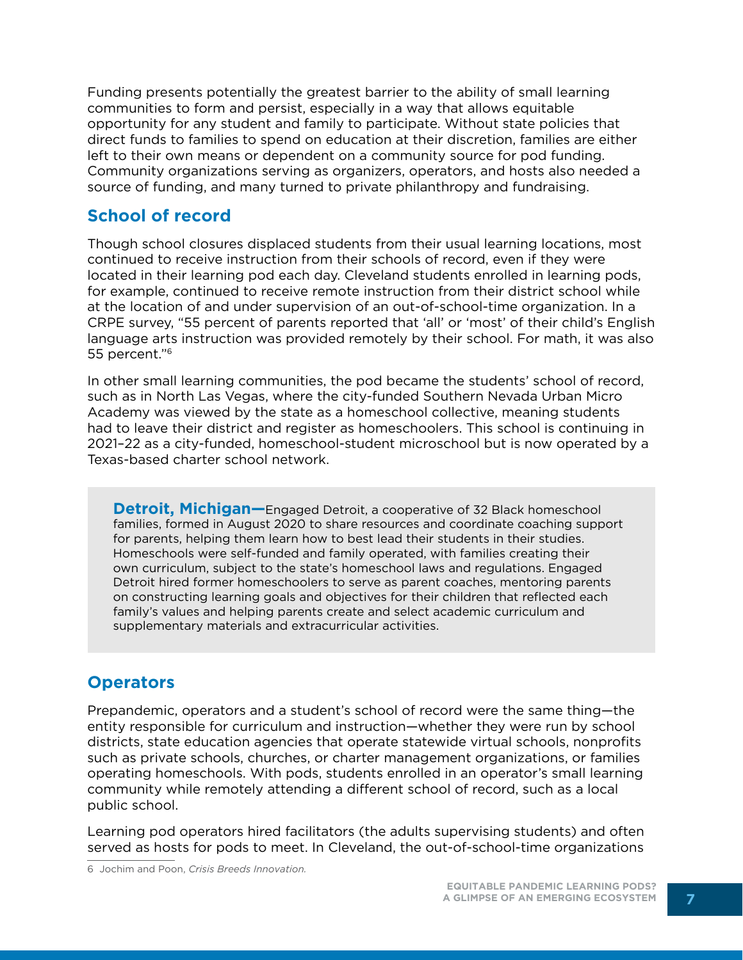Funding presents potentially the greatest barrier to the ability of small learning communities to form and persist, especially in a way that allows equitable opportunity for any student and family to participate. Without state policies that direct funds to families to spend on education at their discretion, families are either left to their own means or dependent on a community source for pod funding. Community organizations serving as organizers, operators, and hosts also needed a source of funding, and many turned to private philanthropy and fundraising.

### **School of record**

Though school closures displaced students from their usual learning locations, most continued to receive instruction from their schools of record, even if they were located in their learning pod each day. Cleveland students enrolled in learning pods, for example, continued to receive remote instruction from their district school while at the location of and under supervision of an out-of-school-time organization. In a CRPE survey, "55 percent of parents reported that 'all' or 'most' of their child's English language arts instruction was provided remotely by their school. For math, it was also 55 percent."<sup>6</sup>

In other small learning communities, the pod became the students' school of record, such as in North Las Vegas, where the city-funded Southern Nevada Urban Micro Academy was viewed by the state as a homeschool collective, meaning students had to leave their district and register as homeschoolers. This school is continuing in 2021–22 as a city-funded, homeschool-student microschool but is now operated by a Texas-based charter school network.

**Detroit, Michigan—**Engaged Detroit, a cooperative of 32 Black homeschool families, formed in August 2020 to share resources and coordinate coaching support for parents, helping them learn how to best lead their students in their studies. Homeschools were self-funded and family operated, with families creating their own curriculum, subject to the state's homeschool laws and regulations. Engaged Detroit hired former homeschoolers to serve as parent coaches, mentoring parents on constructing learning goals and objectives for their children that reflected each family's values and helping parents create and select academic curriculum and supplementary materials and extracurricular activities.

#### **Operators**

Prepandemic, operators and a student's school of record were the same thing—the entity responsible for curriculum and instruction—whether they were run by school districts, state education agencies that operate statewide virtual schools, nonprofits such as private schools, churches, or charter management organizations, or families operating homeschools. With pods, students enrolled in an operator's small learning community while remotely attending a different school of record, such as a local public school.

Learning pod operators hired facilitators (the adults supervising students) and often served as hosts for pods to meet. In Cleveland, the out-of-school-time organizations

6 Jochim and Poon, *Crisis Breeds Innovation.*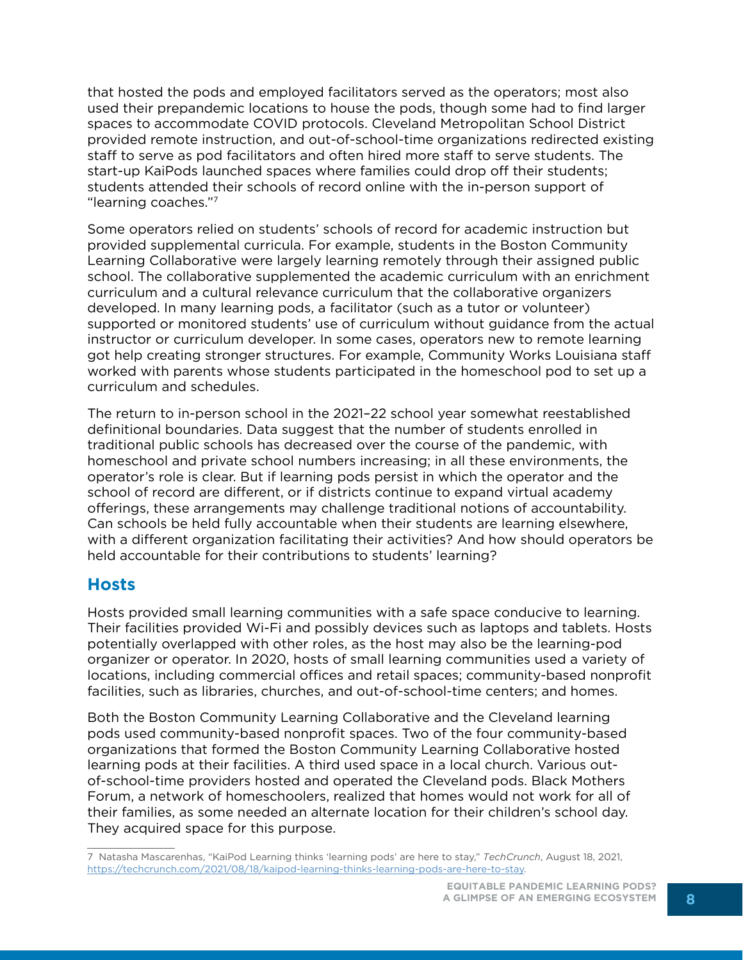that hosted the pods and employed facilitators served as the operators; most also used their prepandemic locations to house the pods, though some had to find larger spaces to accommodate COVID protocols. Cleveland Metropolitan School District provided remote instruction, and out-of-school-time organizations redirected existing staff to serve as pod facilitators and often hired more staff to serve students. The start-up KaiPods launched spaces where families could drop off their students; students attended their schools of record online with the in-person support of "learning coaches."<sup>7</sup>

Some operators relied on students' schools of record for academic instruction but provided supplemental curricula. For example, students in the Boston Community Learning Collaborative were largely learning remotely through their assigned public school. The collaborative supplemented the academic curriculum with an enrichment curriculum and a cultural relevance curriculum that the collaborative organizers developed. In many learning pods, a facilitator (such as a tutor or volunteer) supported or monitored students' use of curriculum without guidance from the actual instructor or curriculum developer. In some cases, operators new to remote learning got help creating stronger structures. For example, Community Works Louisiana staff worked with parents whose students participated in the homeschool pod to set up a curriculum and schedules.

The return to in-person school in the 2021–22 school year somewhat reestablished definitional boundaries. Data suggest that the number of students enrolled in traditional public schools has decreased over the course of the pandemic, with homeschool and private school numbers increasing; in all these environments, the operator's role is clear. But if learning pods persist in which the operator and the school of record are different, or if districts continue to expand virtual academy offerings, these arrangements may challenge traditional notions of accountability. Can schools be held fully accountable when their students are learning elsewhere, with a different organization facilitating their activities? And how should operators be held accountable for their contributions to students' learning?

#### **Hosts**

Hosts provided small learning communities with a safe space conducive to learning. Their facilities provided Wi-Fi and possibly devices such as laptops and tablets. Hosts potentially overlapped with other roles, as the host may also be the learning-pod organizer or operator. In 2020, hosts of small learning communities used a variety of locations, including commercial offices and retail spaces; community-based nonprofit facilities, such as libraries, churches, and out-of-school-time centers; and homes.

Both the Boston Community Learning Collaborative and the Cleveland learning pods used community-based nonprofit spaces. Two of the four community-based organizations that formed the Boston Community Learning Collaborative hosted learning pods at their facilities. A third used space in a local church. Various outof-school-time providers hosted and operated the Cleveland pods. Black Mothers Forum, a network of homeschoolers, realized that homes would not work for all of their families, as some needed an alternate location for their children's school day. They acquired space for this purpose.

<sup>7</sup> Natasha Mascarenhas, "KaiPod Learning thinks 'learning pods' are here to stay," *TechCrunch*, August 18, 2021, [https://techcrunch.com/2021/08/18/kaipod-learning-thinks-learning-pods-are-here-to-stay.](https://techcrunch.com/2021/08/18/kaipod-learning-thinks-learning-pods-are-here-to-stay)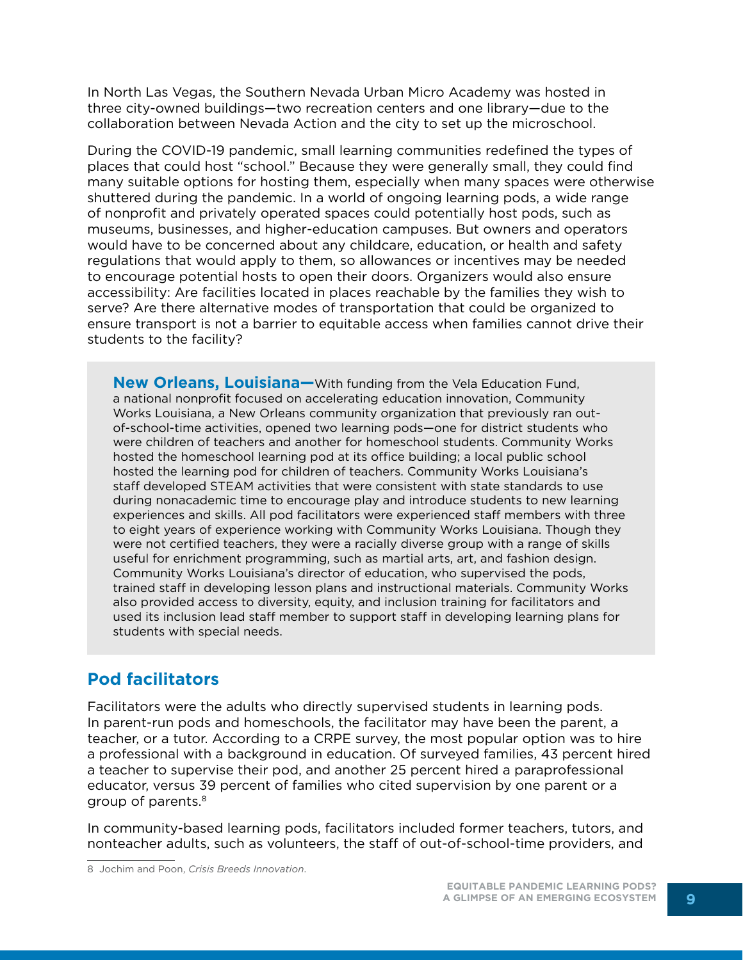In North Las Vegas, the Southern Nevada Urban Micro Academy was hosted in three city-owned buildings—two recreation centers and one library—due to the collaboration between Nevada Action and the city to set up the microschool.

During the COVID-19 pandemic, small learning communities redefined the types of places that could host "school." Because they were generally small, they could find many suitable options for hosting them, especially when many spaces were otherwise shuttered during the pandemic. In a world of ongoing learning pods, a wide range of nonprofit and privately operated spaces could potentially host pods, such as museums, businesses, and higher-education campuses. But owners and operators would have to be concerned about any childcare, education, or health and safety regulations that would apply to them, so allowances or incentives may be needed to encourage potential hosts to open their doors. Organizers would also ensure accessibility: Are facilities located in places reachable by the families they wish to serve? Are there alternative modes of transportation that could be organized to ensure transport is not a barrier to equitable access when families cannot drive their students to the facility?

**New Orleans, Louisiana—**With funding from the Vela Education Fund, a national nonprofit focused on accelerating education innovation, Community Works Louisiana, a New Orleans community organization that previously ran outof-school-time activities, opened two learning pods—one for district students who were children of teachers and another for homeschool students. Community Works hosted the homeschool learning pod at its office building; a local public school hosted the learning pod for children of teachers. Community Works Louisiana's staff developed STEAM activities that were consistent with state standards to use during nonacademic time to encourage play and introduce students to new learning experiences and skills. All pod facilitators were experienced staff members with three to eight years of experience working with Community Works Louisiana. Though they were not certified teachers, they were a racially diverse group with a range of skills useful for enrichment programming, such as martial arts, art, and fashion design. Community Works Louisiana's director of education, who supervised the pods, trained staff in developing lesson plans and instructional materials. Community Works also provided access to diversity, equity, and inclusion training for facilitators and used its inclusion lead staff member to support staff in developing learning plans for students with special needs.

#### **Pod facilitators**

Facilitators were the adults who directly supervised students in learning pods. In parent-run pods and homeschools, the facilitator may have been the parent, a teacher, or a tutor. According to a CRPE survey, the most popular option was to hire a professional with a background in education. Of surveyed families, 43 percent hired a teacher to supervise their pod, and another 25 percent hired a paraprofessional educator, versus 39 percent of families who cited supervision by one parent or a group of parents.8

In community-based learning pods, facilitators included former teachers, tutors, and nonteacher adults, such as volunteers, the staff of out-of-school-time providers, and

<sup>8</sup> Jochim and Poon, *Crisis Breeds Innovation*.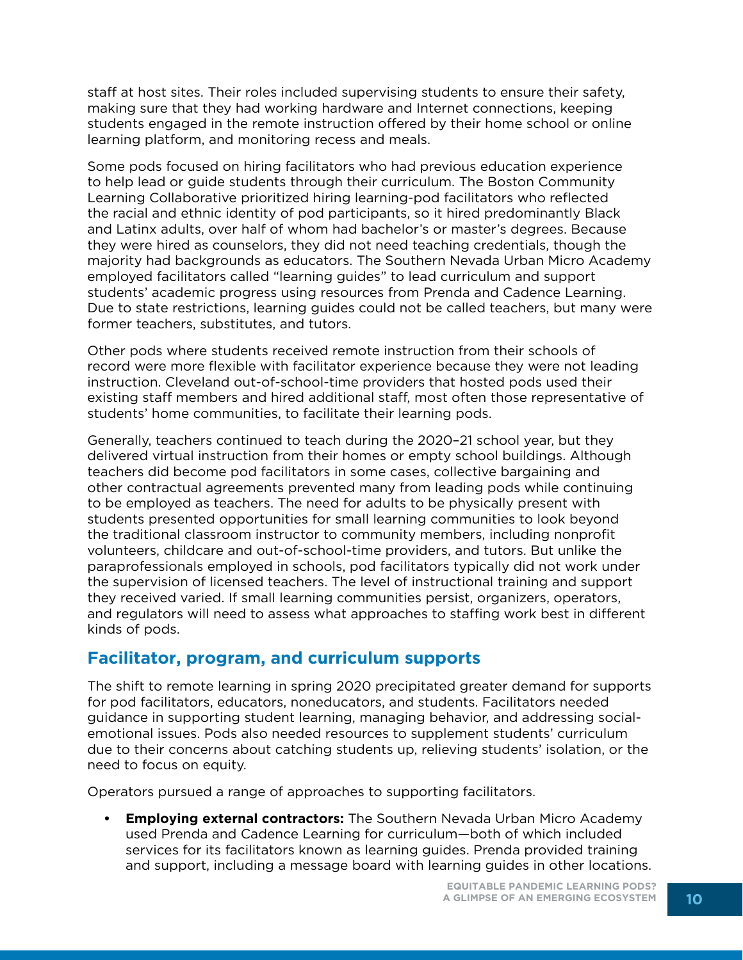staff at host sites. Their roles included supervising students to ensure their safety, making sure that they had working hardware and Internet connections, keeping students engaged in the remote instruction offered by their home school or online learning platform, and monitoring recess and meals.

Some pods focused on hiring facilitators who had previous education experience to help lead or guide students through their curriculum. The Boston Community Learning Collaborative prioritized hiring learning-pod facilitators who reflected the racial and ethnic identity of pod participants, so it hired predominantly Black and Latinx adults, over half of whom had bachelor's or master's degrees. Because they were hired as counselors, they did not need teaching credentials, though the majority had backgrounds as educators. The Southern Nevada Urban Micro Academy employed facilitators called "learning guides" to lead curriculum and support students' academic progress using resources from Prenda and Cadence Learning. Due to state restrictions, learning guides could not be called teachers, but many were former teachers, substitutes, and tutors.

Other pods where students received remote instruction from their schools of record were more flexible with facilitator experience because they were not leading instruction. Cleveland out-of-school-time providers that hosted pods used their existing staff members and hired additional staff, most often those representative of students' home communities, to facilitate their learning pods.

Generally, teachers continued to teach during the 2020–21 school year, but they delivered virtual instruction from their homes or empty school buildings. Although teachers did become pod facilitators in some cases, collective bargaining and other contractual agreements prevented many from leading pods while continuing to be employed as teachers. The need for adults to be physically present with students presented opportunities for small learning communities to look beyond the traditional classroom instructor to community members, including nonprofit volunteers, childcare and out-of-school-time providers, and tutors. But unlike the paraprofessionals employed in schools, pod facilitators typically did not work under the supervision of licensed teachers. The level of instructional training and support they received varied. If small learning communities persist, organizers, operators, and regulators will need to assess what approaches to staffing work best in different kinds of pods.

#### **Facilitator, program, and curriculum supports**

The shift to remote learning in spring 2020 precipitated greater demand for supports for pod facilitators, educators, noneducators, and students. Facilitators needed guidance in supporting student learning, managing behavior, and addressing socialemotional issues. Pods also needed resources to supplement students' curriculum due to their concerns about catching students up, relieving students' isolation, or the need to focus on equity.

Operators pursued a range of approaches to supporting facilitators.

**• Employing external contractors:** The Southern Nevada Urban Micro Academy used Prenda and Cadence Learning for curriculum—both of which included services for its facilitators known as learning guides. Prenda provided training and support, including a message board with learning guides in other locations.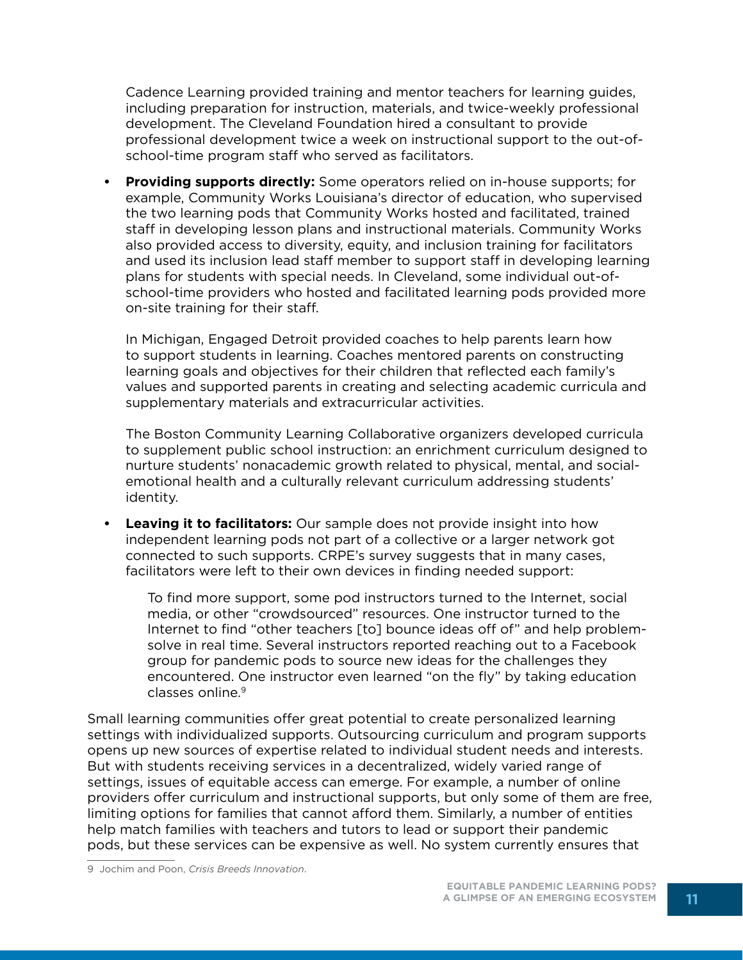Cadence Learning provided training and mentor teachers for learning guides, including preparation for instruction, materials, and twice-weekly professional development. The Cleveland Foundation hired a consultant to provide professional development twice a week on instructional support to the out-ofschool-time program staff who served as facilitators.

**• Providing supports directly:** Some operators relied on in-house supports; for example, Community Works Louisiana's director of education, who supervised the two learning pods that Community Works hosted and facilitated, trained staff in developing lesson plans and instructional materials. Community Works also provided access to diversity, equity, and inclusion training for facilitators and used its inclusion lead staff member to support staff in developing learning plans for students with special needs. In Cleveland, some individual out-ofschool-time providers who hosted and facilitated learning pods provided more on-site training for their staff.

In Michigan, Engaged Detroit provided coaches to help parents learn how to support students in learning. Coaches mentored parents on constructing learning goals and objectives for their children that reflected each family's values and supported parents in creating and selecting academic curricula and supplementary materials and extracurricular activities.

The Boston Community Learning Collaborative organizers developed curricula to supplement public school instruction: an enrichment curriculum designed to nurture students' nonacademic growth related to physical, mental, and socialemotional health and a culturally relevant curriculum addressing students' identity.

**• Leaving it to facilitators:** Our sample does not provide insight into how independent learning pods not part of a collective or a larger network got connected to such supports. CRPE's survey suggests that in many cases, facilitators were left to their own devices in finding needed support:

To find more support, some pod instructors turned to the Internet, social media, or other "crowdsourced" resources. One instructor turned to the Internet to find "other teachers [to] bounce ideas off of" and help problemsolve in real time. Several instructors reported reaching out to a Facebook group for pandemic pods to source new ideas for the challenges they encountered. One instructor even learned "on the fly" by taking education classes online.9

Small learning communities offer great potential to create personalized learning settings with individualized supports. Outsourcing curriculum and program supports opens up new sources of expertise related to individual student needs and interests. But with students receiving services in a decentralized, widely varied range of settings, issues of equitable access can emerge. For example, a number of online providers offer curriculum and instructional supports, but only some of them are free, limiting options for families that cannot afford them. Similarly, a number of entities help match families with teachers and tutors to lead or support their pandemic pods, but these services can be expensive as well. No system currently ensures that

9 Jochim and Poon, *Crisis Breeds Innovation*.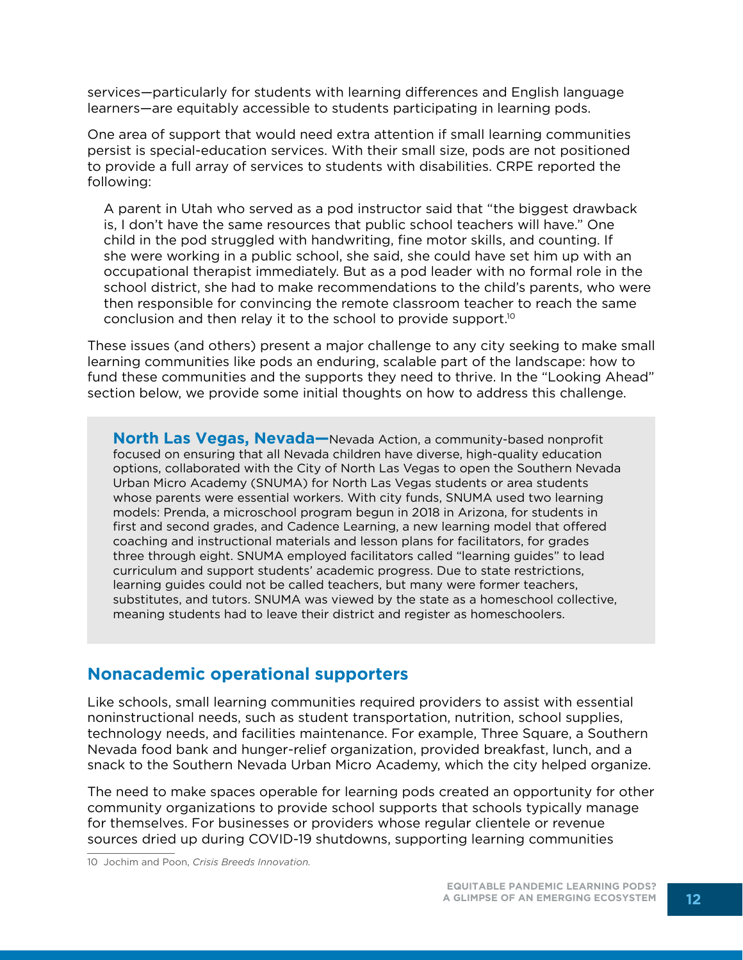services—particularly for students with learning differences and English language learners—are equitably accessible to students participating in learning pods.

One area of support that would need extra attention if small learning communities persist is special-education services. With their small size, pods are not positioned to provide a full array of services to students with disabilities. CRPE reported the following:

A parent in Utah who served as a pod instructor said that "the biggest drawback is, I don't have the same resources that public school teachers will have." One child in the pod struggled with handwriting, fine motor skills, and counting. If she were working in a public school, she said, she could have set him up with an occupational therapist immediately. But as a pod leader with no formal role in the school district, she had to make recommendations to the child's parents, who were then responsible for convincing the remote classroom teacher to reach the same conclusion and then relay it to the school to provide support.10

These issues (and others) present a major challenge to any city seeking to make small learning communities like pods an enduring, scalable part of the landscape: how to fund these communities and the supports they need to thrive. In the "Looking Ahead" section below, we provide some initial thoughts on how to address this challenge.

**North Las Vegas, Nevada—**Nevada Action, a community-based nonprofit focused on ensuring that all Nevada children have diverse, high-quality education options, collaborated with the City of North Las Vegas to open the Southern Nevada Urban Micro Academy (SNUMA) for North Las Vegas students or area students whose parents were essential workers. With city funds, SNUMA used two learning models: Prenda, a microschool program begun in 2018 in Arizona, for students in first and second grades, and Cadence Learning, a new learning model that offered coaching and instructional materials and lesson plans for facilitators, for grades three through eight. SNUMA employed facilitators called "learning guides" to lead curriculum and support students' academic progress. Due to state restrictions, learning guides could not be called teachers, but many were former teachers, substitutes, and tutors. SNUMA was viewed by the state as a homeschool collective, meaning students had to leave their district and register as homeschoolers.

#### **Nonacademic operational supporters**

Like schools, small learning communities required providers to assist with essential noninstructional needs, such as student transportation, nutrition, school supplies, technology needs, and facilities maintenance. For example, Three Square, a Southern Nevada food bank and hunger-relief organization, provided breakfast, lunch, and a snack to the Southern Nevada Urban Micro Academy, which the city helped organize.

The need to make spaces operable for learning pods created an opportunity for other community organizations to provide school supports that schools typically manage for themselves. For businesses or providers whose regular clientele or revenue sources dried up during COVID-19 shutdowns, supporting learning communities

10 Jochim and Poon, *Crisis Breeds Innovation.*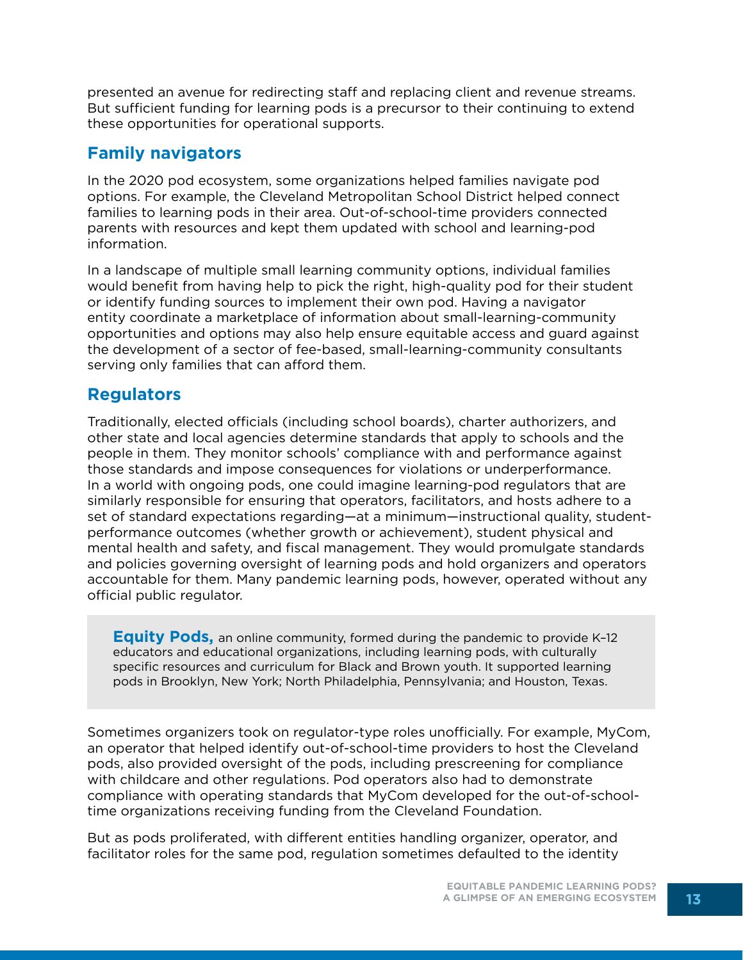presented an avenue for redirecting staff and replacing client and revenue streams. But sufficient funding for learning pods is a precursor to their continuing to extend these opportunities for operational supports.

#### **Family navigators**

In the 2020 pod ecosystem, some organizations helped families navigate pod options. For example, the Cleveland Metropolitan School District helped connect families to learning pods in their area. Out-of-school-time providers connected parents with resources and kept them updated with school and learning-pod information.

In a landscape of multiple small learning community options, individual families would benefit from having help to pick the right, high-quality pod for their student or identify funding sources to implement their own pod. Having a navigator entity coordinate a marketplace of information about small-learning-community opportunities and options may also help ensure equitable access and guard against the development of a sector of fee-based, small-learning-community consultants serving only families that can afford them.

## **Regulators**

Traditionally, elected officials (including school boards), charter authorizers, and other state and local agencies determine standards that apply to schools and the people in them. They monitor schools' compliance with and performance against those standards and impose consequences for violations or underperformance. In a world with ongoing pods, one could imagine learning-pod regulators that are similarly responsible for ensuring that operators, facilitators, and hosts adhere to a set of standard expectations regarding—at a minimum—instructional quality, studentperformance outcomes (whether growth or achievement), student physical and mental health and safety, and fiscal management. They would promulgate standards and policies governing oversight of learning pods and hold organizers and operators accountable for them. Many pandemic learning pods, however, operated without any official public regulator.

**Equity Pods,** an online community, formed during the pandemic to provide K–12 educators and educational organizations, including learning pods, with culturally specific resources and curriculum for Black and Brown youth. It supported learning pods in Brooklyn, New York; North Philadelphia, Pennsylvania; and Houston, Texas.

Sometimes organizers took on regulator-type roles unofficially. For example, MyCom, an operator that helped identify out-of-school-time providers to host the Cleveland pods, also provided oversight of the pods, including prescreening for compliance with childcare and other regulations. Pod operators also had to demonstrate compliance with operating standards that MyCom developed for the out-of-schooltime organizations receiving funding from the Cleveland Foundation.

But as pods proliferated, with different entities handling organizer, operator, and facilitator roles for the same pod, regulation sometimes defaulted to the identity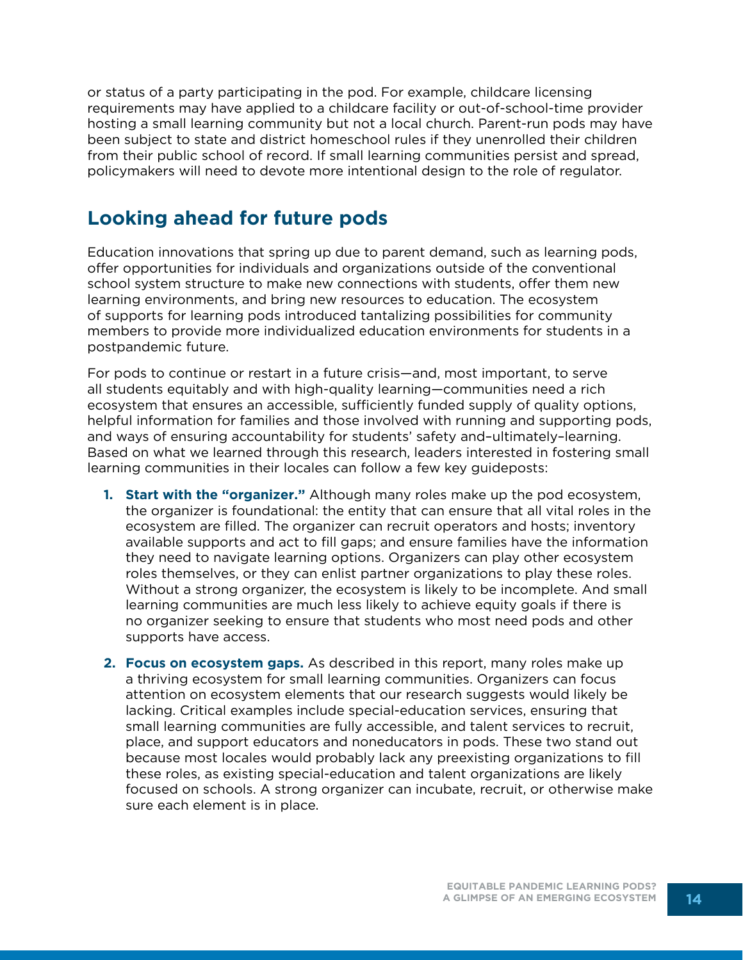or status of a party participating in the pod. For example, childcare licensing requirements may have applied to a childcare facility or out-of-school-time provider hosting a small learning community but not a local church. Parent-run pods may have been subject to state and district homeschool rules if they unenrolled their children from their public school of record. If small learning communities persist and spread, policymakers will need to devote more intentional design to the role of regulator.

## **Looking ahead for future pods**

Education innovations that spring up due to parent demand, such as learning pods, offer opportunities for individuals and organizations outside of the conventional school system structure to make new connections with students, offer them new learning environments, and bring new resources to education. The ecosystem of supports for learning pods introduced tantalizing possibilities for community members to provide more individualized education environments for students in a postpandemic future.

For pods to continue or restart in a future crisis—and, most important, to serve all students equitably and with high-quality learning—communities need a rich ecosystem that ensures an accessible, sufficiently funded supply of quality options, helpful information for families and those involved with running and supporting pods, and ways of ensuring accountability for students' safety and–ultimately–learning. Based on what we learned through this research, leaders interested in fostering small learning communities in their locales can follow a few key guideposts:

- **1. Start with the "organizer."** Although many roles make up the pod ecosystem, the organizer is foundational: the entity that can ensure that all vital roles in the ecosystem are filled. The organizer can recruit operators and hosts; inventory available supports and act to fill gaps; and ensure families have the information they need to navigate learning options. Organizers can play other ecosystem roles themselves, or they can enlist partner organizations to play these roles. Without a strong organizer, the ecosystem is likely to be incomplete. And small learning communities are much less likely to achieve equity goals if there is no organizer seeking to ensure that students who most need pods and other supports have access.
- **2. Focus on ecosystem gaps.** As described in this report, many roles make up a thriving ecosystem for small learning communities. Organizers can focus attention on ecosystem elements that our research suggests would likely be lacking. Critical examples include special-education services, ensuring that small learning communities are fully accessible, and talent services to recruit, place, and support educators and noneducators in pods. These two stand out because most locales would probably lack any preexisting organizations to fill these roles, as existing special-education and talent organizations are likely focused on schools. A strong organizer can incubate, recruit, or otherwise make sure each element is in place.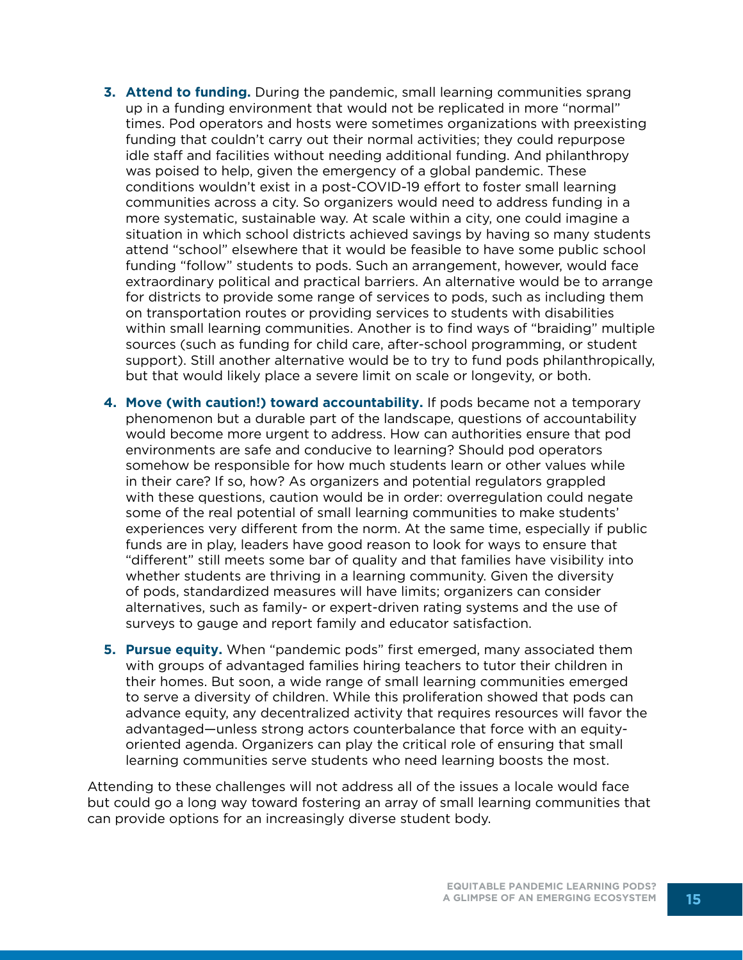- **3. Attend to funding.** During the pandemic, small learning communities sprang up in a funding environment that would not be replicated in more "normal" times. Pod operators and hosts were sometimes organizations with preexisting funding that couldn't carry out their normal activities; they could repurpose idle staff and facilities without needing additional funding. And philanthropy was poised to help, given the emergency of a global pandemic. These conditions wouldn't exist in a post-COVID-19 effort to foster small learning communities across a city. So organizers would need to address funding in a more systematic, sustainable way. At scale within a city, one could imagine a situation in which school districts achieved savings by having so many students attend "school" elsewhere that it would be feasible to have some public school funding "follow" students to pods. Such an arrangement, however, would face extraordinary political and practical barriers. An alternative would be to arrange for districts to provide some range of services to pods, such as including them on transportation routes or providing services to students with disabilities within small learning communities. Another is to find ways of "braiding" multiple sources (such as funding for child care, after-school programming, or student support). Still another alternative would be to try to fund pods philanthropically, but that would likely place a severe limit on scale or longevity, or both.
- **4. Move (with caution!) toward accountability.** If pods became not a temporary phenomenon but a durable part of the landscape, questions of accountability would become more urgent to address. How can authorities ensure that pod environments are safe and conducive to learning? Should pod operators somehow be responsible for how much students learn or other values while in their care? If so, how? As organizers and potential regulators grappled with these questions, caution would be in order: overregulation could negate some of the real potential of small learning communities to make students' experiences very different from the norm. At the same time, especially if public funds are in play, leaders have good reason to look for ways to ensure that "different" still meets some bar of quality and that families have visibility into whether students are thriving in a learning community. Given the diversity of pods, standardized measures will have limits; organizers can consider alternatives, such as family- or expert-driven rating systems and the use of surveys to gauge and report family and educator satisfaction.
- **5. Pursue equity.** When "pandemic pods" first emerged, many associated them with groups of advantaged families hiring teachers to tutor their children in their homes. But soon, a wide range of small learning communities emerged to serve a diversity of children. While this proliferation showed that pods can advance equity, any decentralized activity that requires resources will favor the advantaged—unless strong actors counterbalance that force with an equityoriented agenda. Organizers can play the critical role of ensuring that small learning communities serve students who need learning boosts the most.

Attending to these challenges will not address all of the issues a locale would face but could go a long way toward fostering an array of small learning communities that can provide options for an increasingly diverse student body.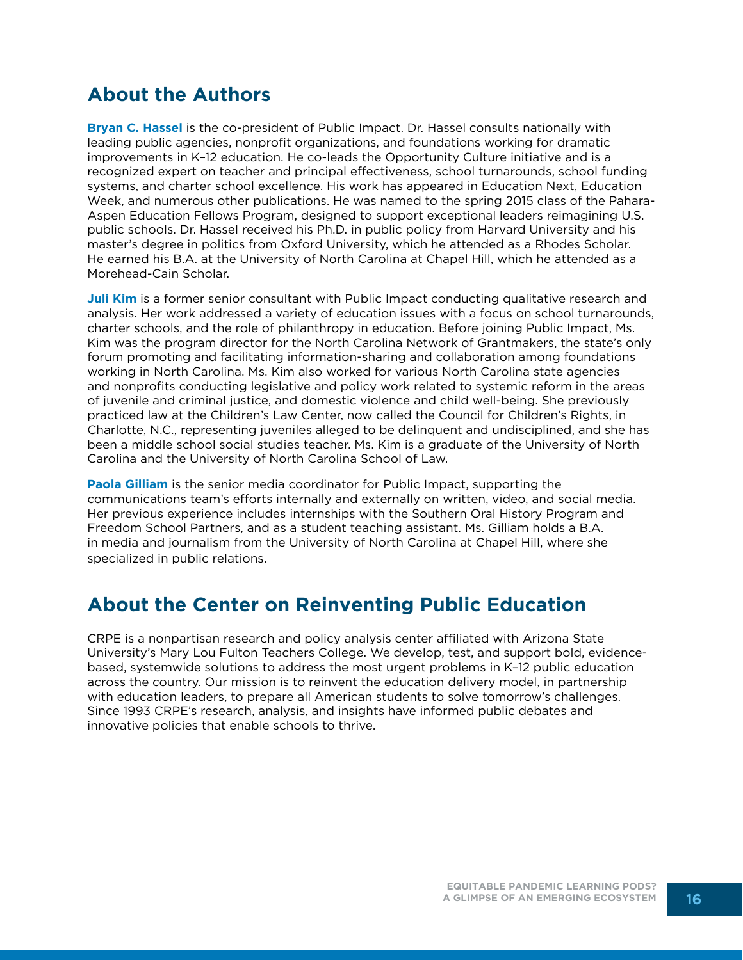## **About the Authors**

**Bryan C. Hassel** is the co-president of Public Impact. Dr. Hassel consults nationally with leading public agencies, nonprofit organizations, and foundations working for dramatic improvements in K–12 education. He co-leads the Opportunity Culture initiative and is a recognized expert on teacher and principal effectiveness, school turnarounds, school funding systems, and charter school excellence. His work has appeared in Education Next, Education Week, and numerous other publications. He was named to the spring 2015 class of the Pahara-Aspen Education Fellows Program, designed to support exceptional leaders reimagining U.S. public schools. Dr. Hassel received his Ph.D. in public policy from Harvard University and his master's degree in politics from Oxford University, which he attended as a Rhodes Scholar. He earned his B.A. at the University of North Carolina at Chapel Hill, which he attended as a Morehead-Cain Scholar.

**Juli Kim** is a former senior consultant with Public Impact conducting qualitative research and analysis. Her work addressed a variety of education issues with a focus on school turnarounds, charter schools, and the role of philanthropy in education. Before joining Public Impact, Ms. Kim was the program director for the North Carolina Network of Grantmakers, the state's only forum promoting and facilitating information-sharing and collaboration among foundations working in North Carolina. Ms. Kim also worked for various North Carolina state agencies and nonprofits conducting legislative and policy work related to systemic reform in the areas of juvenile and criminal justice, and domestic violence and child well-being. She previously practiced law at the Children's Law Center, now called the Council for Children's Rights, in Charlotte, N.C., representing juveniles alleged to be delinquent and undisciplined, and she has been a middle school social studies teacher. Ms. Kim is a graduate of the University of North Carolina and the University of North Carolina School of Law.

**Paola Gilliam** is the senior media coordinator for Public Impact, supporting the communications team's efforts internally and externally on written, video, and social media. Her previous experience includes internships with the Southern Oral History Program and Freedom School Partners, and as a student teaching assistant. Ms. Gilliam holds a B.A. in media and journalism from the University of North Carolina at Chapel Hill, where she specialized in public relations.

## **About the Center on Reinventing Public Education**

CRPE is a nonpartisan research and policy analysis center affiliated with Arizona State University's Mary Lou Fulton Teachers College. We develop, test, and support bold, evidencebased, systemwide solutions to address the most urgent problems in K–12 public education across the country. Our mission is to reinvent the education delivery model, in partnership with education leaders, to prepare all American students to solve tomorrow's challenges. Since 1993 CRPE's research, analysis, and insights have informed public debates and innovative policies that enable schools to thrive.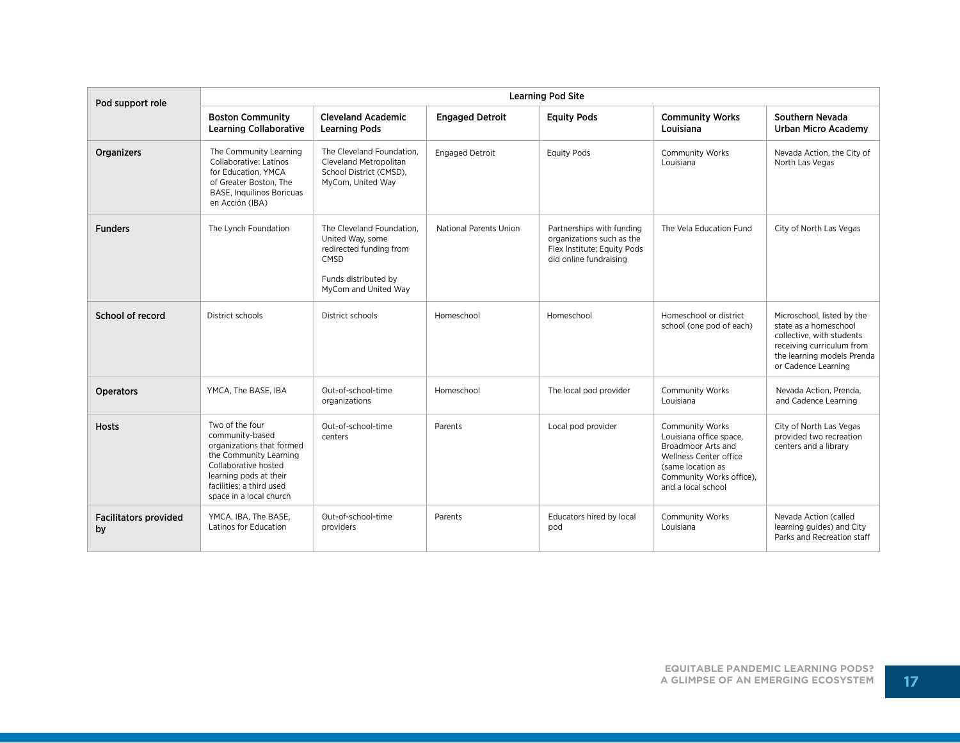| Pod support role                   | <b>Learning Pod Site</b>                                                                                                                                                                           |                                                                                                                                  |                        |                                                                                                                 |                                                                                                                                                                                 |                                                                                                                                                                    |  |  |
|------------------------------------|----------------------------------------------------------------------------------------------------------------------------------------------------------------------------------------------------|----------------------------------------------------------------------------------------------------------------------------------|------------------------|-----------------------------------------------------------------------------------------------------------------|---------------------------------------------------------------------------------------------------------------------------------------------------------------------------------|--------------------------------------------------------------------------------------------------------------------------------------------------------------------|--|--|
|                                    | <b>Boston Community</b><br><b>Learning Collaborative</b>                                                                                                                                           | <b>Cleveland Academic</b><br><b>Learning Pods</b>                                                                                | <b>Engaged Detroit</b> | <b>Equity Pods</b>                                                                                              | <b>Community Works</b><br>Louisiana                                                                                                                                             | Southern Nevada<br><b>Urban Micro Academy</b>                                                                                                                      |  |  |
| Organizers                         | The Community Learning<br>Collaborative: Latinos<br>for Education, YMCA<br>of Greater Boston. The<br><b>BASE, Inquilinos Boricuas</b><br>en Acción (IBA)                                           | The Cleveland Foundation.<br>Cleveland Metropolitan<br>School District (CMSD),<br>MyCom, United Way                              | <b>Engaged Detroit</b> | <b>Equity Pods</b>                                                                                              | <b>Community Works</b><br>Louisiana                                                                                                                                             | Nevada Action, the City of<br>North Las Vegas                                                                                                                      |  |  |
| <b>Funders</b>                     | The Lynch Foundation                                                                                                                                                                               | The Cleveland Foundation.<br>United Way, some<br>redirected funding from<br>CMSD<br>Funds distributed by<br>MyCom and United Way | National Parents Union | Partnerships with funding<br>organizations such as the<br>Flex Institute; Equity Pods<br>did online fundraising | The Vela Education Fund                                                                                                                                                         | City of North Las Vegas                                                                                                                                            |  |  |
| School of record                   | District schools                                                                                                                                                                                   | District schools                                                                                                                 | Homeschool             | Homeschool                                                                                                      | Homeschool or district<br>school (one pod of each)                                                                                                                              | Microschool, listed by the<br>state as a homeschool<br>collective, with students<br>receiving curriculum from<br>the learning models Prenda<br>or Cadence Learning |  |  |
| <b>Operators</b>                   | YMCA, The BASE, IBA                                                                                                                                                                                | Out-of-school-time<br>organizations                                                                                              | Homeschool             | The local pod provider                                                                                          | Community Works<br>Louisiana                                                                                                                                                    | Nevada Action, Prenda,<br>and Cadence Learning                                                                                                                     |  |  |
| <b>Hosts</b>                       | Two of the four<br>community-based<br>organizations that formed<br>the Community Learning<br>Collaborative hosted<br>learning pods at their<br>facilities; a third used<br>space in a local church | Out-of-school-time<br>centers                                                                                                    | Parents                | Local pod provider                                                                                              | <b>Community Works</b><br>Louisiana office space,<br>Broadmoor Arts and<br><b>Wellness Center office</b><br>(same location as<br>Community Works office),<br>and a local school | City of North Las Vegas<br>provided two recreation<br>centers and a library                                                                                        |  |  |
| <b>Facilitators provided</b><br>by | YMCA, IBA, The BASE,<br>Latinos for Education                                                                                                                                                      | Out-of-school-time<br>providers                                                                                                  | Parents                | Educators hired by local<br>pod                                                                                 | <b>Community Works</b><br>Louisiana                                                                                                                                             | Nevada Action (called<br>learning guides) and City<br>Parks and Recreation staff                                                                                   |  |  |